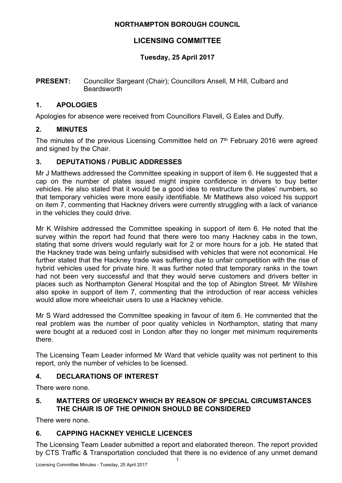#### **NORTHAMPTON BOROUGH COUNCIL**

## **LICENSING COMMITTEE**

## **Tuesday, 25 April 2017**

#### **PRESENT:** Councillor Sargeant (Chair); Councillors Ansell, M Hill, Culbard and **Beardsworth**

### **1. APOLOGIES**

Apologies for absence were received from Councillors Flavell, G Eales and Duffy.

### **2. MINUTES**

The minutes of the previous Licensing Committee held on  $7<sup>th</sup>$  February 2016 were agreed and signed by the Chair.

### **3. DEPUTATIONS / PUBLIC ADDRESSES**

Mr J Matthews addressed the Committee speaking in support of item 6. He suggested that a cap on the number of plates issued might inspire confidence in drivers to buy better vehicles. He also stated that it would be a good idea to restructure the plates' numbers, so that temporary vehicles were more easily identifiable. Mr Matthews also voiced his support on item 7, commenting that Hackney drivers were currently struggling with a lack of variance in the vehicles they could drive.

Mr K Wilshire addressed the Committee speaking in support of item 6. He noted that the survey within the report had found that there were too many Hackney cabs in the town, stating that some drivers would regularly wait for 2 or more hours for a job. He stated that the Hackney trade was being unfairly subsidised with vehicles that were not economical. He further stated that the Hackney trade was suffering due to unfair competition with the rise of hybrid vehicles used for private hire. It was further noted that temporary ranks in the town had not been very successful and that they would serve customers and drivers better in places such as Northampton General Hospital and the top of Abington Street. Mr Wilshire also spoke in support of item 7, commenting that the introduction of rear access vehicles would allow more wheelchair users to use a Hackney vehicle.

Mr S Ward addressed the Committee speaking in favour of item 6. He commented that the real problem was the number of poor quality vehicles in Northampton, stating that many were bought at a reduced cost in London after they no longer met minimum requirements there.

The Licensing Team Leader informed Mr Ward that vehicle quality was not pertinent to this report, only the number of vehicles to be licensed.

## **4. DECLARATIONS OF INTEREST**

There were none.

#### **5. MATTERS OF URGENCY WHICH BY REASON OF SPECIAL CIRCUMSTANCES THE CHAIR IS OF THE OPINION SHOULD BE CONSIDERED**

There were none.

# **6. CAPPING HACKNEY VEHICLE LICENCES**

The Licensing Team Leader submitted a report and elaborated thereon. The report provided by CTS Traffic & Transportation concluded that there is no evidence of any unmet demand